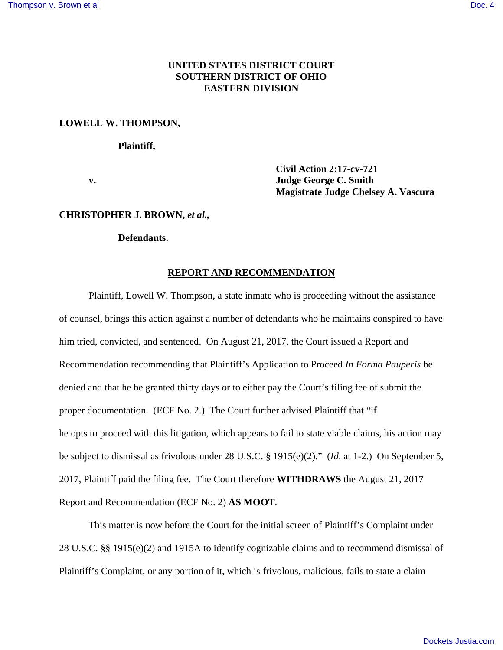# **UNITED STATES DISTRICT COURT SOUTHERN DISTRICT OF OHIO EASTERN DIVISION**

### **LOWELL W. THOMPSON,**

#### **Plaintiff,**

 **Civil Action 2:17-cv-721 v. Judge George C. Smith Magistrate Judge Chelsey A. Vascura** 

#### **CHRISTOPHER J. BROWN,** *et al.,*

## **Defendants.**

### **REPORT AND RECOMMENDATION**

 Plaintiff, Lowell W. Thompson, a state inmate who is proceeding without the assistance of counsel, brings this action against a number of defendants who he maintains conspired to have him tried, convicted, and sentenced. On August 21, 2017, the Court issued a Report and Recommendation recommending that Plaintiff's Application to Proceed *In Forma Pauperis* be denied and that he be granted thirty days or to either pay the Court's filing fee of submit the proper documentation. (ECF No. 2.) The Court further advised Plaintiff that "if he opts to proceed with this litigation, which appears to fail to state viable claims, his action may be subject to dismissal as frivolous under 28 U.S.C. § 1915(e)(2)." (*Id*. at 1-2.) On September 5, 2017, Plaintiff paid the filing fee. The Court therefore **WITHDRAWS** the August 21, 2017 Report and Recommendation (ECF No. 2) **AS MOOT**.

This matter is now before the Court for the initial screen of Plaintiff's Complaint under 28 U.S.C. §§ 1915(e)(2) and 1915A to identify cognizable claims and to recommend dismissal of Plaintiff's Complaint, or any portion of it, which is frivolous, malicious, fails to state a claim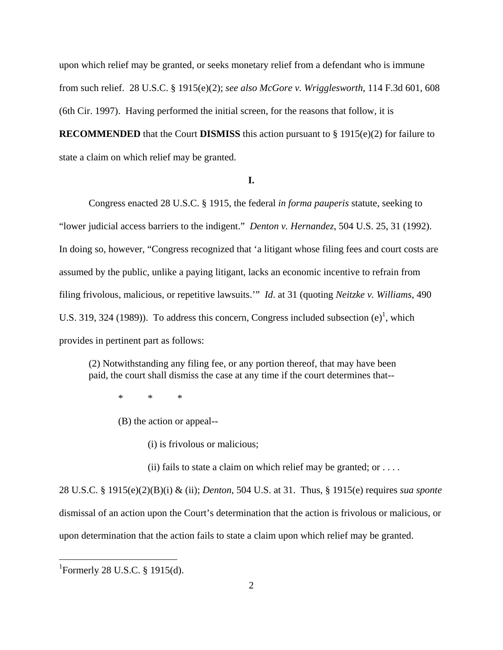upon which relief may be granted, or seeks monetary relief from a defendant who is immune from such relief. 28 U.S.C. § 1915(e)(2); *see also McGore v. Wrigglesworth*, 114 F.3d 601, 608 (6th Cir. 1997). Having performed the initial screen, for the reasons that follow, it is **RECOMMENDED** that the Court **DISMISS** this action pursuant to § 1915(e)(2) for failure to state a claim on which relief may be granted.

### **I.**

Congress enacted 28 U.S.C. § 1915, the federal *in forma pauperis* statute, seeking to "lower judicial access barriers to the indigent." *Denton v. Hernandez*, 504 U.S. 25, 31 (1992). In doing so, however, "Congress recognized that 'a litigant whose filing fees and court costs are assumed by the public, unlike a paying litigant, lacks an economic incentive to refrain from filing frivolous, malicious, or repetitive lawsuits.'" *Id*. at 31 (quoting *Neitzke v. Williams*, 490 U.S. 319, 324 (1989)). To address this concern, Congress included subsection  $(e)^1$ , which provides in pertinent part as follows:

(2) Notwithstanding any filing fee, or any portion thereof, that may have been paid, the court shall dismiss the case at any time if the court determines that--

\* \* \*

(B) the action or appeal--

(i) is frivolous or malicious;

(ii) fails to state a claim on which relief may be granted; or  $\dots$ .

28 U.S.C. § 1915(e)(2)(B)(i) & (ii); *Denton*, 504 U.S. at 31. Thus, § 1915(e) requires *sua sponte* dismissal of an action upon the Court's determination that the action is frivolous or malicious, or upon determination that the action fails to state a claim upon which relief may be granted.

<u>.</u>

<sup>1</sup> Formerly 28 U.S.C. § 1915(d).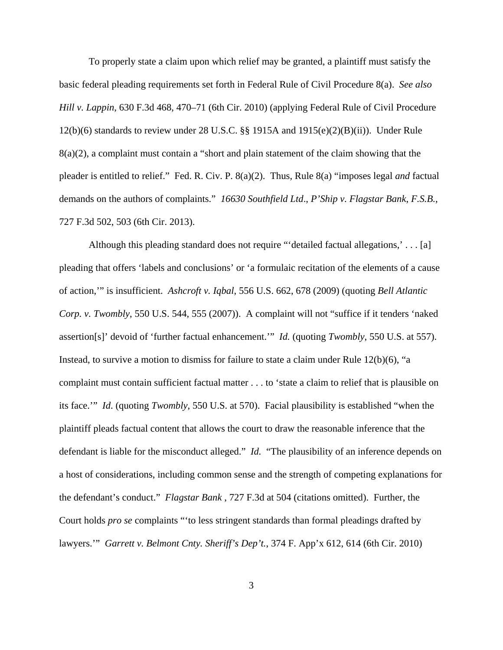To properly state a claim upon which relief may be granted, a plaintiff must satisfy the basic federal pleading requirements set forth in Federal Rule of Civil Procedure 8(a). *See also Hill v. Lappin*, 630 F.3d 468, 470–71 (6th Cir. 2010) (applying Federal Rule of Civil Procedure 12(b)(6) standards to review under 28 U.S.C. §§ 1915A and 1915(e)(2)(B)(ii)). Under Rule 8(a)(2), a complaint must contain a "short and plain statement of the claim showing that the pleader is entitled to relief." Fed. R. Civ. P. 8(a)(2). Thus, Rule 8(a) "imposes legal *and* factual demands on the authors of complaints." *16630 Southfield Ltd*., *P'Ship v. Flagstar Bank*, *F.S.B.*, 727 F.3d 502, 503 (6th Cir. 2013).

Although this pleading standard does not require "'detailed factual allegations,' . . . [a] pleading that offers 'labels and conclusions' or 'a formulaic recitation of the elements of a cause of action,'" is insufficient. *Ashcroft v. Iqbal*, 556 U.S. 662, 678 (2009) (quoting *Bell Atlantic Corp. v. Twombly*, 550 U.S. 544, 555 (2007)). A complaint will not "suffice if it tenders 'naked assertion[s]' devoid of 'further factual enhancement.'" *Id.* (quoting *Twombly*, 550 U.S. at 557). Instead, to survive a motion to dismiss for failure to state a claim under Rule 12(b)(6), "a complaint must contain sufficient factual matter . . . to 'state a claim to relief that is plausible on its face.'" *Id*. (quoting *Twombly*, 550 U.S. at 570). Facial plausibility is established "when the plaintiff pleads factual content that allows the court to draw the reasonable inference that the defendant is liable for the misconduct alleged." *Id.* "The plausibility of an inference depends on a host of considerations, including common sense and the strength of competing explanations for the defendant's conduct." *Flagstar Bank* , 727 F.3d at 504 (citations omitted). Further, the Court holds *pro se* complaints "'to less stringent standards than formal pleadings drafted by lawyers.'" *Garrett v. Belmont Cnty. Sheriff's Dep't.*, 374 F. App'x 612, 614 (6th Cir. 2010)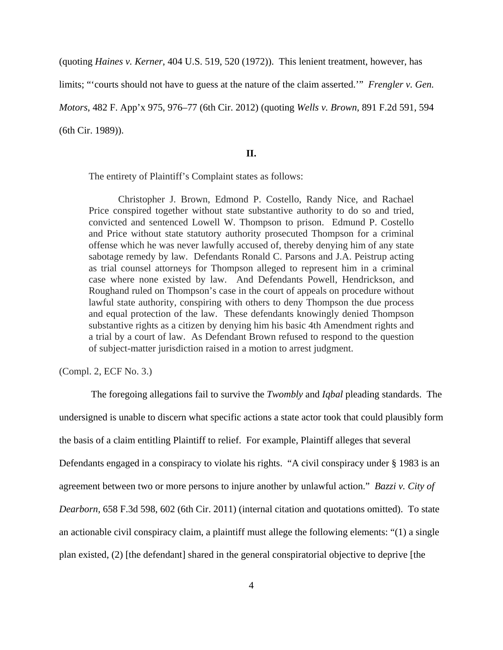(quoting *Haines v. Kerner*, 404 U.S. 519, 520 (1972)). This lenient treatment, however, has

limits; "'courts should not have to guess at the nature of the claim asserted.'" *Frengler v. Gen.* 

*Motors*, 482 F. App'x 975, 976–77 (6th Cir. 2012) (quoting *Wells v. Brown*, 891 F.2d 591, 594

(6th Cir. 1989)).

#### **II.**

The entirety of Plaintiff's Complaint states as follows:

Christopher J. Brown, Edmond P. Costello, Randy Nice, and Rachael Price conspired together without state substantive authority to do so and tried, convicted and sentenced Lowell W. Thompson to prison. Edmund P. Costello and Price without state statutory authority prosecuted Thompson for a criminal offense which he was never lawfully accused of, thereby denying him of any state sabotage remedy by law. Defendants Ronald C. Parsons and J.A. Peistrup acting as trial counsel attorneys for Thompson alleged to represent him in a criminal case where none existed by law. And Defendants Powell, Hendrickson, and Roughand ruled on Thompson's case in the court of appeals on procedure without lawful state authority, conspiring with others to deny Thompson the due process and equal protection of the law. These defendants knowingly denied Thompson substantive rights as a citizen by denying him his basic 4th Amendment rights and a trial by a court of law. As Defendant Brown refused to respond to the question of subject-matter jurisdiction raised in a motion to arrest judgment.

(Compl. 2, ECF No. 3.)

The foregoing allegations fail to survive the *Twombly* and *Iqbal* pleading standards. The undersigned is unable to discern what specific actions a state actor took that could plausibly form the basis of a claim entitling Plaintiff to relief. For example, Plaintiff alleges that several Defendants engaged in a conspiracy to violate his rights. "A civil conspiracy under § 1983 is an agreement between two or more persons to injure another by unlawful action." *Bazzi v. City of Dearborn,* 658 F.3d 598, 602 (6th Cir. 2011) (internal citation and quotations omitted). To state an actionable civil conspiracy claim, a plaintiff must allege the following elements: "(1) a single plan existed, (2) [the defendant] shared in the general conspiratorial objective to deprive [the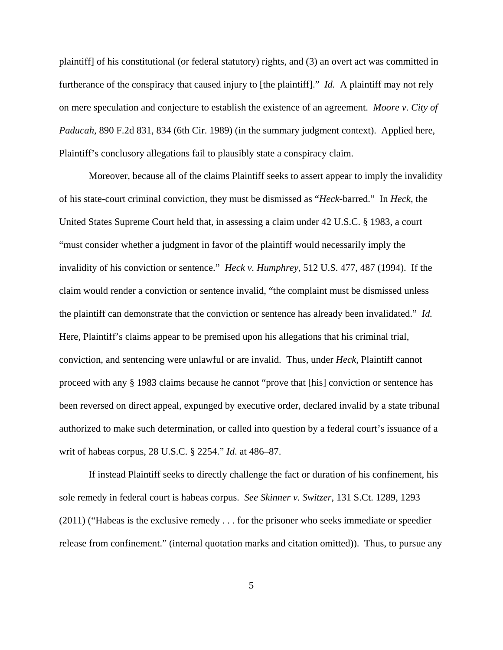plaintiff] of his constitutional (or federal statutory) rights, and (3) an overt act was committed in furtherance of the conspiracy that caused injury to [the plaintiff]." *Id.* A plaintiff may not rely on mere speculation and conjecture to establish the existence of an agreement. *Moore v. City of Paducah,* 890 F.2d 831, 834 (6th Cir. 1989) (in the summary judgment context). Applied here, Plaintiff's conclusory allegations fail to plausibly state a conspiracy claim.

Moreover, because all of the claims Plaintiff seeks to assert appear to imply the invalidity of his state-court criminal conviction, they must be dismissed as "*Heck-*barred." In *Heck*, the United States Supreme Court held that, in assessing a claim under 42 U.S.C. § 1983, a court "must consider whether a judgment in favor of the plaintiff would necessarily imply the invalidity of his conviction or sentence." *Heck v. Humphrey*, 512 U.S. 477, 487 (1994). If the claim would render a conviction or sentence invalid, "the complaint must be dismissed unless the plaintiff can demonstrate that the conviction or sentence has already been invalidated." *Id.*  Here, Plaintiff's claims appear to be premised upon his allegations that his criminal trial, conviction, and sentencing were unlawful or are invalid. Thus, under *Heck*, Plaintiff cannot proceed with any § 1983 claims because he cannot "prove that [his] conviction or sentence has been reversed on direct appeal, expunged by executive order, declared invalid by a state tribunal authorized to make such determination, or called into question by a federal court's issuance of a writ of habeas corpus, 28 U.S.C. § 2254." *Id*. at 486–87.

 If instead Plaintiff seeks to directly challenge the fact or duration of his confinement, his sole remedy in federal court is habeas corpus. *See Skinner v. Switzer*, 131 S.Ct. 1289, 1293 (2011) ("Habeas is the exclusive remedy . . . for the prisoner who seeks immediate or speedier release from confinement." (internal quotation marks and citation omitted)). Thus, to pursue any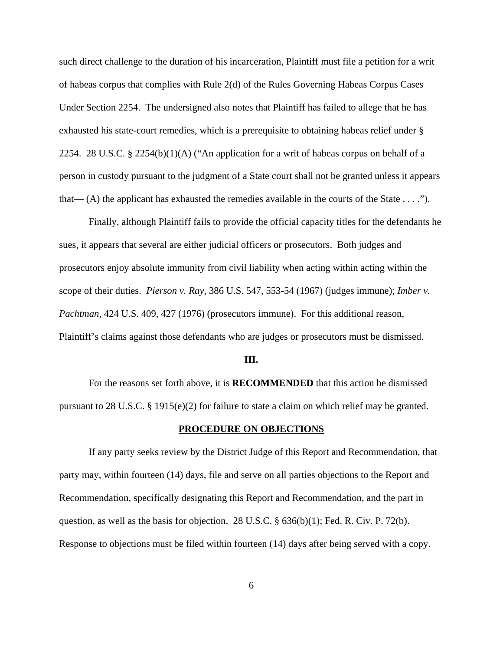such direct challenge to the duration of his incarceration, Plaintiff must file a petition for a writ of habeas corpus that complies with Rule 2(d) of the Rules Governing Habeas Corpus Cases Under Section 2254. The undersigned also notes that Plaintiff has failed to allege that he has exhausted his state-court remedies, which is a prerequisite to obtaining habeas relief under § 2254. 28 U.S.C. § 2254(b)(1)(A) ("An application for a writ of habeas corpus on behalf of a person in custody pursuant to the judgment of a State court shall not be granted unless it appears that—  $(A)$  the applicant has exhausted the remedies available in the courts of the State  $\dots$ .").

 Finally, although Plaintiff fails to provide the official capacity titles for the defendants he sues, it appears that several are either judicial officers or prosecutors. Both judges and prosecutors enjoy absolute immunity from civil liability when acting within acting within the scope of their duties. *Pierson v. Ray*, 386 U.S. 547, 553-54 (1967) (judges immune); *Imber v. Pachtman*, 424 U.S. 409, 427 (1976) (prosecutors immune). For this additional reason, Plaintiff's claims against those defendants who are judges or prosecutors must be dismissed.

#### **III.**

For the reasons set forth above, it is **RECOMMENDED** that this action be dismissed pursuant to 28 U.S.C. § 1915(e)(2) for failure to state a claim on which relief may be granted.

### **PROCEDURE ON OBJECTIONS**

 If any party seeks review by the District Judge of this Report and Recommendation, that party may, within fourteen (14) days, file and serve on all parties objections to the Report and Recommendation, specifically designating this Report and Recommendation, and the part in question, as well as the basis for objection. 28 U.S.C. § 636(b)(1); Fed. R. Civ. P. 72(b). Response to objections must be filed within fourteen (14) days after being served with a copy.

 $\sim$  6